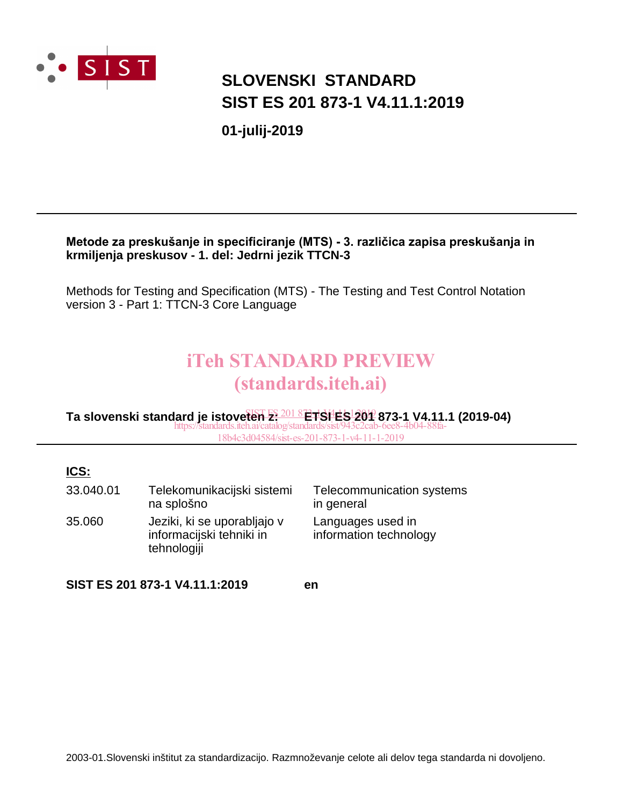

# **SLOVENSKI STANDARD SIST ES 201 873-1 V4.11.1:2019**

**01-julij-2019**

### **Metode za preskušanje in specificiranje (MTS) - 3. različica zapisa preskušanja in krmiljenja preskusov - 1. del: Jedrni jezik TTCN-3**

Methods for Testing and Specification (MTS) - The Testing and Test Control Notation version 3 - Part 1: TTCN-3 Core Language

# iTeh STANDARD PREVIEW (standards.iteh.ai)

Ta slovenski standard je istoveten <del>E: 201 8 ETSI ES 201</del> 873-1 V4.11.1 (2019-04) https://standards.iteh.ai/catalog/standards/sist/943c2cab-6ee8-4b04-88fa-18b4c3d04584/sist-es-201-873-1-v4-11-1-2019

### **ICS:**

| 33.040.01 | Telekomunikacijski sistemi<br>na splošno                               | Telecommunication systems<br>in general     |
|-----------|------------------------------------------------------------------------|---------------------------------------------|
| 35.060    | Jeziki, ki se uporabljajo v<br>informacijski tehniki in<br>tehnologiji | Languages used in<br>information technology |

**SIST ES 201 873-1 V4.11.1:2019 en**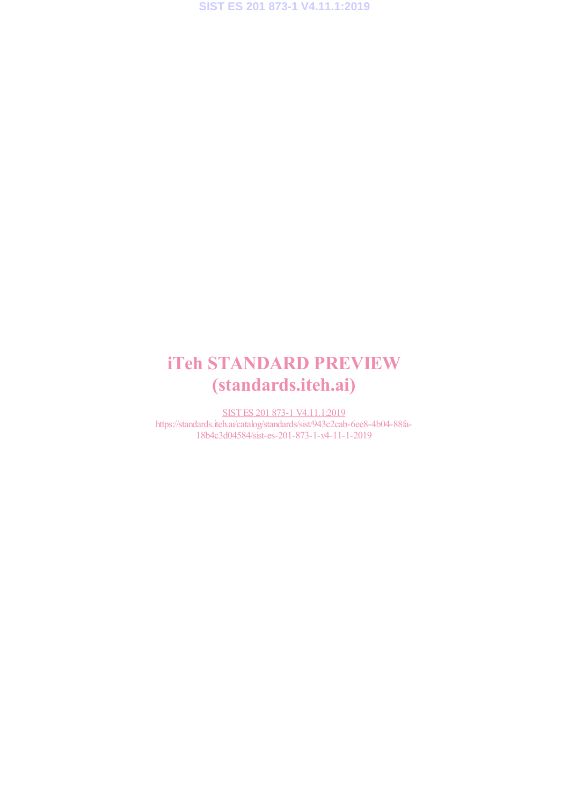# iTeh STANDARD PREVIEW (standards.iteh.ai)

SIST ES 201 873-1 V4.11.1:2019 https://standards.iteh.ai/catalog/standards/sist/943c2cab-6ee8-4b04-88fa-18b4c3d04584/sist-es-201-873-1-v4-11-1-2019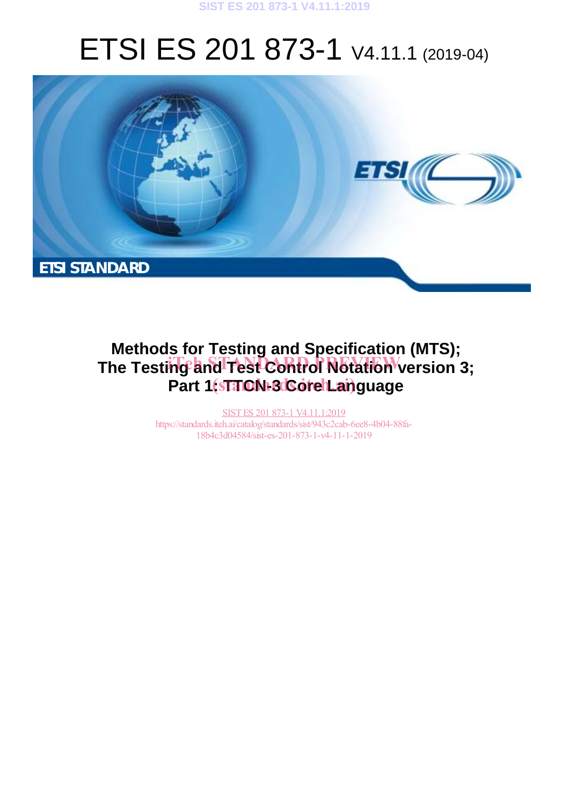# ETSI ES 201 873-1 V4.11.1 (2019-04)



# **Methods for Testing and Specification (MTS);**  The Testing and Test Control Notation version 3; Part 1(stanDN-8 CorehLanguage

SIST ES 201 873-1 V4.11.1:2019 https://standards.iteh.ai/catalog/standards/sist/943c2cab-6ee8-4b04-88fa-18b4c3d04584/sist-es-201-873-1-v4-11-1-2019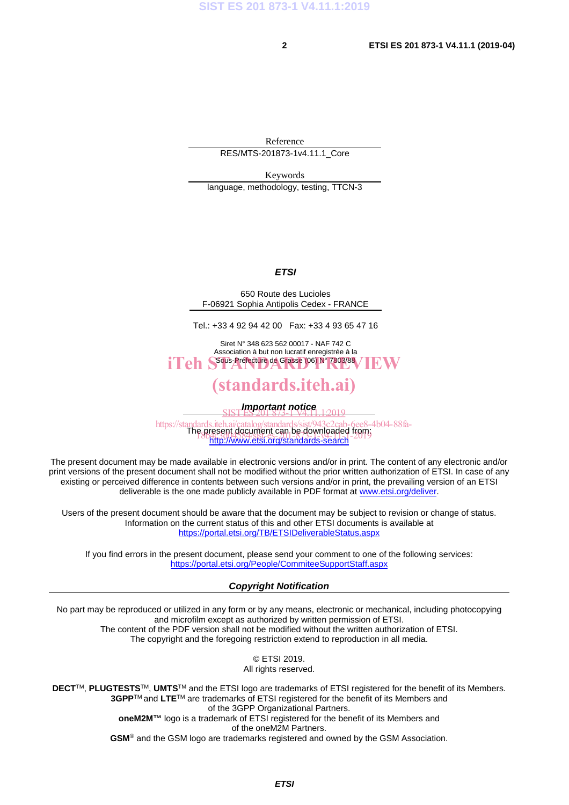Reference RES/MTS-201873-1v4.11.1\_Core

Keywords

language, methodology, testing, TTCN-3

### *ETSI*

650 Route des Lucioles F-06921 Sophia Antipolis Cedex - FRANCE

Tel.: +33 4 92 94 42 00 Fax: +33 4 93 65 47 16

Siret N° 348 623 562 00017 - NAF 742 C Association à but non lucratif enregistrée à la iTeh S<sup>ous-Préfecture</sup> de Grasse (06) N° 7803/88 / IEW

## (standards.iteh.ai)

*Important notice*  SIST ES 201 873-1 V4.11.1:2019

https://standards.iteh.ai/catalog/standards/sist/943c2cab-6ee8-4b04-88fa-<br>The present document can be downloaded from: http://www.etsi.org/standards-search e present document can be gownoaded itority<br>18b4c201584/sist-es-201-373-1-2019

The present document may be made available in electronic versions and/or in print. The content of any electronic and/or print versions of the present document shall not be modified without the prior written authorization of ETSI. In case of any existing or perceived difference in contents between such versions and/or in print, the prevailing version of an ETSI deliverable is the one made publicly available in PDF format at www.etsi.org/deliver.

Users of the present document should be aware that the document may be subject to revision or change of status. Information on the current status of this and other ETSI documents is available at https://portal.etsi.org/TB/ETSIDeliverableStatus.aspx

If you find errors in the present document, please send your comment to one of the following services: https://portal.etsi.org/People/CommiteeSupportStaff.aspx

### *Copyright Notification*

No part may be reproduced or utilized in any form or by any means, electronic or mechanical, including photocopying and microfilm except as authorized by written permission of ETSI. The content of the PDF version shall not be modified without the written authorization of ETSI. The copyright and the foregoing restriction extend to reproduction in all media.

> © ETSI 2019. All rights reserved.

**DECT**TM, **PLUGTESTS**TM, **UMTS**TM and the ETSI logo are trademarks of ETSI registered for the benefit of its Members. **3GPP**TM and **LTE**TM are trademarks of ETSI registered for the benefit of its Members and of the 3GPP Organizational Partners. **oneM2M™** logo is a trademark of ETSI registered for the benefit of its Members and of the oneM2M Partners. **GSM**® and the GSM logo are trademarks registered and owned by the GSM Association.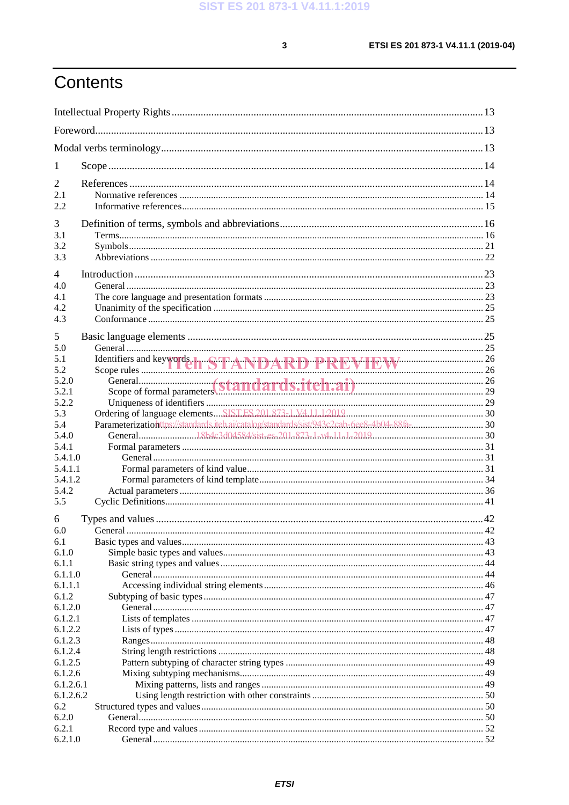$\mathbf{3}$ 

# Contents

| 1                                                     |                                              |  |
|-------------------------------------------------------|----------------------------------------------|--|
| 2<br>2.1<br>2.2                                       |                                              |  |
| 3<br>3.1<br>3.2<br>3.3                                |                                              |  |
| $\overline{4}$<br>4.0<br>4.1<br>4.2<br>4.3            |                                              |  |
| 5<br>5.0<br>5.1<br>5.2<br>5.2.0                       | Identifiers and keywords. TANDARD PREVIEW 26 |  |
| 5.2.1<br>5.2.2<br>5.3<br>5.4                          |                                              |  |
| 5.4.0<br>5.4.1<br>5.4.1.0<br>5.4.1.1                  |                                              |  |
| 5.4.1.2<br>5.4.2<br>5.5                               |                                              |  |
| 6<br>6.0<br>6.1<br>6.1.0<br>6.1.1<br>6.1.1.0          |                                              |  |
| 6.1.1.1<br>6.1.2<br>6.1.2.0<br>6.1.2.1<br>6.1.2.2     |                                              |  |
| 6.1.2.3<br>6.1.2.4<br>6.1.2.5<br>6.1.2.6<br>6.1.2.6.1 |                                              |  |
| 6.1.2.6.2<br>6.2<br>6.2.0<br>6.2.1<br>6.2.1.0         |                                              |  |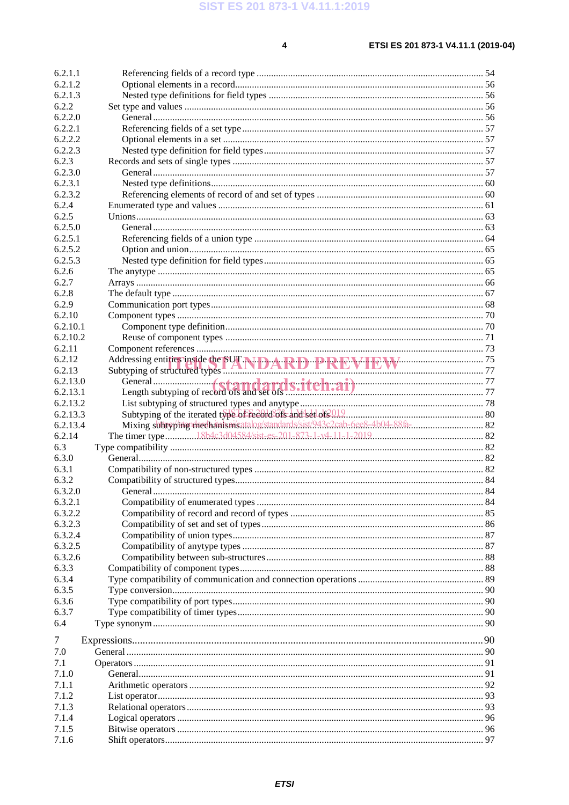$\overline{\mathbf{4}}$ 

| 6.2.1.1            |                                                        |  |
|--------------------|--------------------------------------------------------|--|
| 6.2.1.2            |                                                        |  |
| 6.2.1.3            |                                                        |  |
| 6.2.2              |                                                        |  |
| 6.2.2.0            |                                                        |  |
| 6.2.2.1            |                                                        |  |
| 6.2.2.2            |                                                        |  |
| 6.2.2.3            |                                                        |  |
| 6.2.3              |                                                        |  |
| 6.2.3.0            |                                                        |  |
| 6.2.3.1            |                                                        |  |
| 6.2.3.2            |                                                        |  |
| 6.2.4              |                                                        |  |
| 6.2.5              |                                                        |  |
| 6.2.5.0            |                                                        |  |
| 6.2.5.1            |                                                        |  |
| 6.2.5.2            |                                                        |  |
| 6.2.5.3            |                                                        |  |
| 6.2.6              |                                                        |  |
| 6.2.7              |                                                        |  |
| 6.2.8              |                                                        |  |
| 6.2.9              |                                                        |  |
| 6.2.10             |                                                        |  |
| 6.2.10.1           |                                                        |  |
| 6.2.10.2           |                                                        |  |
| 6.2.11             |                                                        |  |
| 6.2.12             |                                                        |  |
| 6.2.13             | Addressing entities inside the SUT NIDARD PRRMMENT P.W |  |
| 6.2.13.0           |                                                        |  |
| 6.2.13.1           |                                                        |  |
| 6.2.13.2           |                                                        |  |
|                    |                                                        |  |
| 6.2.13.3           |                                                        |  |
| 6.2.13.4           |                                                        |  |
| 6.2.14             |                                                        |  |
| 6.3                |                                                        |  |
| 6.3.0              |                                                        |  |
| 6.3.1              |                                                        |  |
| 6.3.2              |                                                        |  |
|                    |                                                        |  |
| 6.3.2.0<br>6.3.2.1 |                                                        |  |
| 6.3.2.2            |                                                        |  |
| 6.3.2.3            |                                                        |  |
| 6.3.2.4            |                                                        |  |
| 6.3.2.5            |                                                        |  |
| 6.3.2.6            |                                                        |  |
| 6.3.3              |                                                        |  |
| 6.3.4              |                                                        |  |
| 6.3.5              |                                                        |  |
| 6.3.6              |                                                        |  |
| 6.3.7              |                                                        |  |
| 6.4                |                                                        |  |
|                    |                                                        |  |
| 7                  |                                                        |  |
| 7.0                |                                                        |  |
| 7.1                |                                                        |  |
| 7.1.0              |                                                        |  |
| 7.1.1              |                                                        |  |
| 7.1.2              |                                                        |  |
| 7.1.3              |                                                        |  |
| 7.1.4              |                                                        |  |
| 7.1.5<br>7.1.6     |                                                        |  |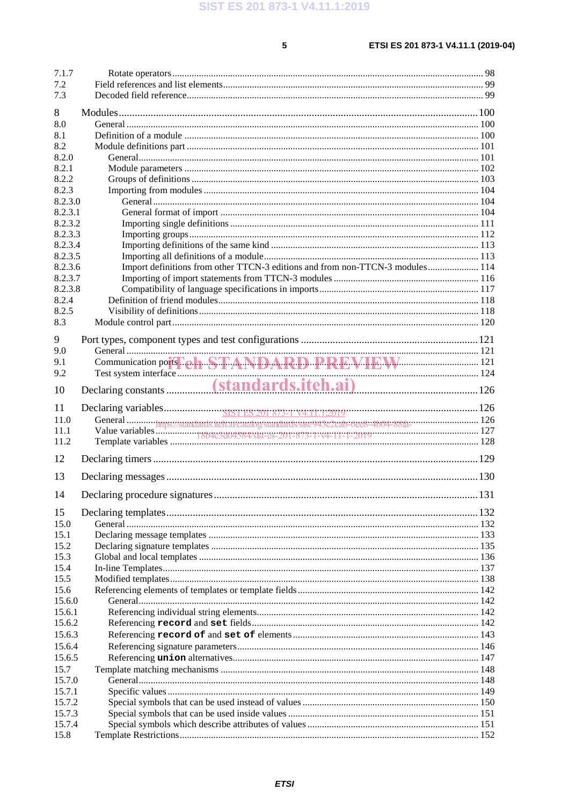$5<sup>1</sup>$ 

| 7.1.7   |                                                                               |  |
|---------|-------------------------------------------------------------------------------|--|
| 7.2     |                                                                               |  |
| 7.3     |                                                                               |  |
| 8       |                                                                               |  |
| 8.0     |                                                                               |  |
| 8.1     |                                                                               |  |
| 8.2     |                                                                               |  |
| 8.2.0   |                                                                               |  |
| 8.2.1   |                                                                               |  |
| 8.2.2   |                                                                               |  |
| 8.2.3   |                                                                               |  |
| 8.2.3.0 |                                                                               |  |
| 8.2.3.1 |                                                                               |  |
| 8.2.3.2 |                                                                               |  |
| 8.2.3.3 |                                                                               |  |
| 8.2.3.4 |                                                                               |  |
| 8.2.3.5 |                                                                               |  |
| 8.2.3.6 | Import definitions from other TTCN-3 editions and from non-TTCN-3 modules 114 |  |
| 8.2.3.7 |                                                                               |  |
| 8.2.3.8 |                                                                               |  |
| 8.2.4   |                                                                               |  |
| 8.2.5   |                                                                               |  |
| 8.3     |                                                                               |  |
| 9       |                                                                               |  |
| 9.0     |                                                                               |  |
| 9.1     |                                                                               |  |
| 9.2     |                                                                               |  |
| 10      | Declaring constants (standards.itch.ai) 126                                   |  |
|         |                                                                               |  |
| 11      |                                                                               |  |
| 11.0    |                                                                               |  |
| 11.1    |                                                                               |  |
| 11.2    |                                                                               |  |
| 12      |                                                                               |  |
|         |                                                                               |  |
| 13      |                                                                               |  |
| 14      |                                                                               |  |
| 15      |                                                                               |  |
| 15.0    |                                                                               |  |
| 15.1    |                                                                               |  |
| 15.2    |                                                                               |  |
| 15.3    |                                                                               |  |
| 15.4    |                                                                               |  |
| 15.5    |                                                                               |  |
| 15.6    |                                                                               |  |
| 15.6.0  |                                                                               |  |
| 15.6.1  |                                                                               |  |
| 15.6.2  |                                                                               |  |
| 15.6.3  |                                                                               |  |
| 15.6.4  |                                                                               |  |
| 15.6.5  |                                                                               |  |
| 15.7    |                                                                               |  |
| 15.7.0  |                                                                               |  |
| 15.7.1  |                                                                               |  |
| 15.7.2  |                                                                               |  |
| 15.7.3  |                                                                               |  |
| 15.7.4  |                                                                               |  |
| 15.8    |                                                                               |  |

**ETSI**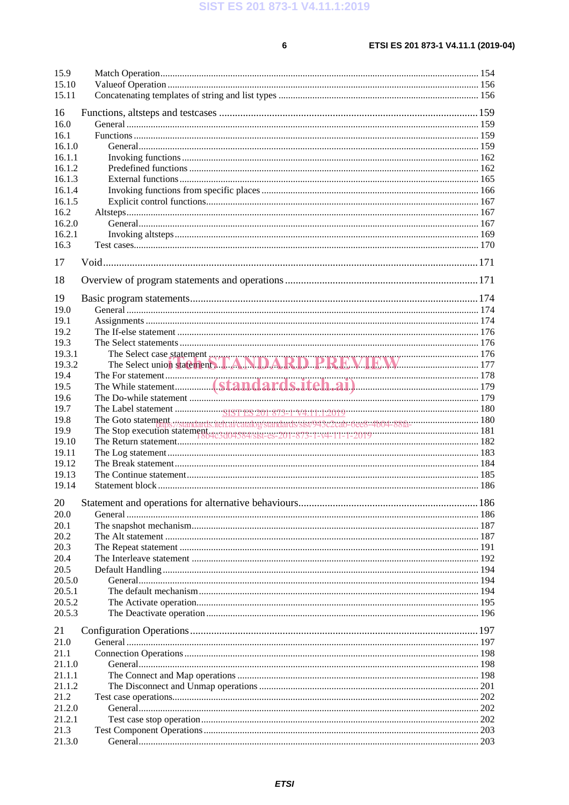$6\overline{6}$ 

| 15.9   |                                                                         |  |
|--------|-------------------------------------------------------------------------|--|
| 15.10  |                                                                         |  |
| 15.11  |                                                                         |  |
|        |                                                                         |  |
| 16     |                                                                         |  |
| 16.0   |                                                                         |  |
| 16.1   |                                                                         |  |
| 16.1.0 |                                                                         |  |
| 16.1.1 |                                                                         |  |
| 16.1.2 |                                                                         |  |
| 16.1.3 |                                                                         |  |
| 16.1.4 |                                                                         |  |
| 16.1.5 |                                                                         |  |
| 16.2   |                                                                         |  |
| 16.2.0 |                                                                         |  |
| 16.2.1 |                                                                         |  |
| 16.3   |                                                                         |  |
|        |                                                                         |  |
| 17     |                                                                         |  |
|        |                                                                         |  |
| 18     |                                                                         |  |
| 19     |                                                                         |  |
| 19.0   |                                                                         |  |
| 19.1   |                                                                         |  |
| 19.2   |                                                                         |  |
| 19.3   |                                                                         |  |
| 19.3.1 |                                                                         |  |
| 19.3.2 |                                                                         |  |
| 19.4   |                                                                         |  |
|        |                                                                         |  |
| 19.5   |                                                                         |  |
| 19.6   |                                                                         |  |
| 19.7   |                                                                         |  |
| 19.8   | The Goto statement<br>Rue Statement (180)<br>The Statement (191)<br>191 |  |
| 19.9   |                                                                         |  |
| 19.10  |                                                                         |  |
| 19.11  |                                                                         |  |
| 19.12  |                                                                         |  |
| 19.13  |                                                                         |  |
| 19.14  |                                                                         |  |
| 20     |                                                                         |  |
| 20.0   |                                                                         |  |
|        |                                                                         |  |
| 20.1   |                                                                         |  |
| 20.2   |                                                                         |  |
| 20.3   |                                                                         |  |
| 20.4   |                                                                         |  |
| 20.5   |                                                                         |  |
| 20.5.0 |                                                                         |  |
| 20.5.1 |                                                                         |  |
| 20.5.2 |                                                                         |  |
| 20.5.3 |                                                                         |  |
| 21     |                                                                         |  |
|        |                                                                         |  |
| 21.0   |                                                                         |  |
| 21.1   |                                                                         |  |
| 21.1.0 |                                                                         |  |
| 21.1.1 |                                                                         |  |
| 21.1.2 |                                                                         |  |
| 21.2   |                                                                         |  |
| 21.2.0 |                                                                         |  |
| 21.2.1 |                                                                         |  |
| 21.3   |                                                                         |  |
| 21.3.0 |                                                                         |  |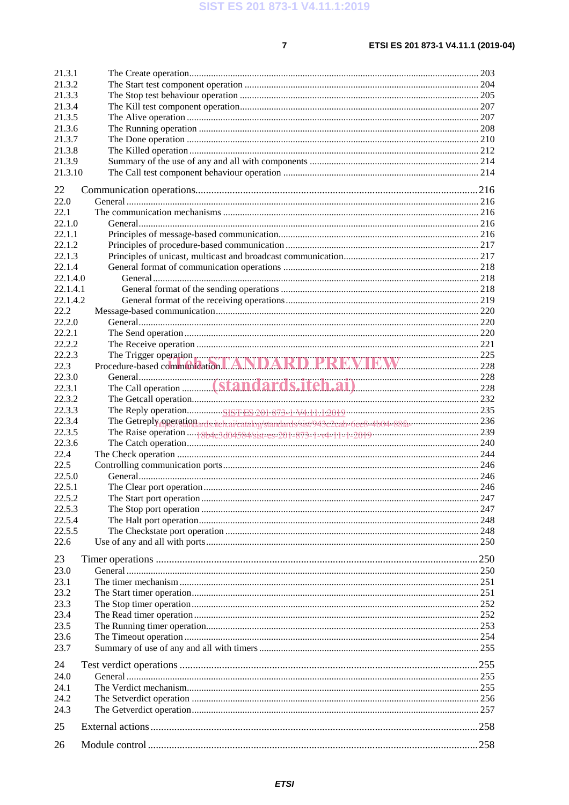| 21.3.1<br>21.3.2<br>21.3.3<br>21.3.4<br>21.3.5<br>21.3.6<br>21.3.7<br>21.3.8<br>21.3.9<br>21.3.10 |                                                                                                                    |  |
|---------------------------------------------------------------------------------------------------|--------------------------------------------------------------------------------------------------------------------|--|
|                                                                                                   |                                                                                                                    |  |
| 22<br>22.0                                                                                        |                                                                                                                    |  |
| 22.1                                                                                              |                                                                                                                    |  |
| 22.1.0                                                                                            |                                                                                                                    |  |
| 22.1.1                                                                                            |                                                                                                                    |  |
| 22.1.2                                                                                            |                                                                                                                    |  |
| 22.1.3                                                                                            |                                                                                                                    |  |
| 22.1.4                                                                                            |                                                                                                                    |  |
| 22.1.4.0                                                                                          |                                                                                                                    |  |
| 22.1.4.1                                                                                          |                                                                                                                    |  |
| 22.1.4.2                                                                                          |                                                                                                                    |  |
| 22.2                                                                                              |                                                                                                                    |  |
| 22.2.0                                                                                            |                                                                                                                    |  |
| 22.2.1                                                                                            |                                                                                                                    |  |
| 22.2.2                                                                                            |                                                                                                                    |  |
| 22.2.3                                                                                            | The Trigger operation<br>Procedure-based communication $\blacksquare$ ANDARD PREVIEW 225                           |  |
| 22.3                                                                                              |                                                                                                                    |  |
| 22.3.0                                                                                            |                                                                                                                    |  |
| 22.3.1                                                                                            |                                                                                                                    |  |
| 22.3.2                                                                                            |                                                                                                                    |  |
| 22.3.3                                                                                            |                                                                                                                    |  |
| 22.3.4                                                                                            | The Getreply operation ards iteh aivataboy/standards/sist/943c2cab-6ee8-4b04-88fa----------------------------- 236 |  |
| 22.3.5                                                                                            |                                                                                                                    |  |
| 22.3.6                                                                                            |                                                                                                                    |  |
| 22.4                                                                                              |                                                                                                                    |  |
| 22.5                                                                                              |                                                                                                                    |  |
| 22.5.0                                                                                            |                                                                                                                    |  |
| 22.5.1                                                                                            |                                                                                                                    |  |
| 22.5.2                                                                                            |                                                                                                                    |  |
| 22.5.3                                                                                            |                                                                                                                    |  |
| 22.5.4                                                                                            |                                                                                                                    |  |
| 22.5.5                                                                                            |                                                                                                                    |  |
| 22.6                                                                                              |                                                                                                                    |  |
| 23                                                                                                |                                                                                                                    |  |
| 23.0                                                                                              |                                                                                                                    |  |
| 23.1                                                                                              |                                                                                                                    |  |
| 23.2                                                                                              |                                                                                                                    |  |
| 23.3                                                                                              |                                                                                                                    |  |
| 23.4                                                                                              |                                                                                                                    |  |
| 23.5                                                                                              |                                                                                                                    |  |
| 23.6                                                                                              |                                                                                                                    |  |
| 23.7                                                                                              |                                                                                                                    |  |
| 24                                                                                                |                                                                                                                    |  |
| 24.0                                                                                              |                                                                                                                    |  |
| 24.1                                                                                              |                                                                                                                    |  |
| 24.2                                                                                              |                                                                                                                    |  |
| 24.3                                                                                              |                                                                                                                    |  |
|                                                                                                   |                                                                                                                    |  |
| 25                                                                                                |                                                                                                                    |  |
| 26                                                                                                |                                                                                                                    |  |
|                                                                                                   |                                                                                                                    |  |

### **ETSI**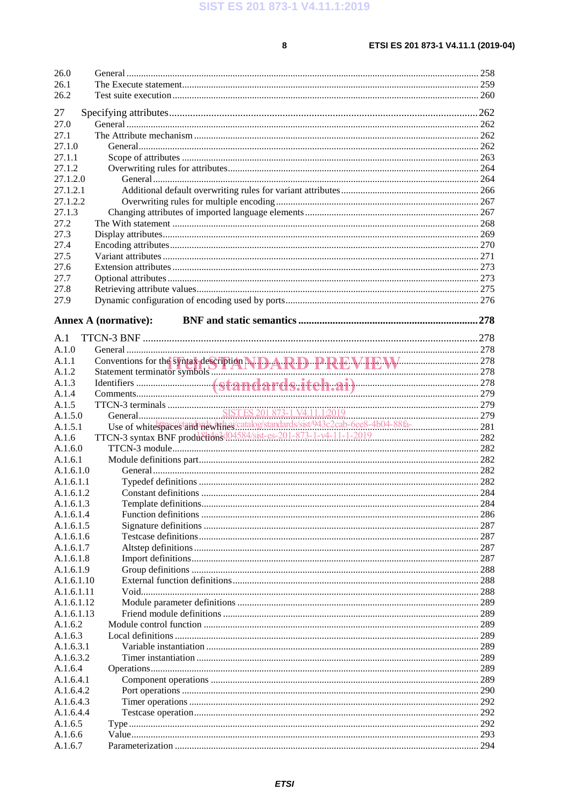$\bf{8}$ 

| 26.0               |                                                                    |  |
|--------------------|--------------------------------------------------------------------|--|
| 26.1               |                                                                    |  |
| 26.2               |                                                                    |  |
| 27                 |                                                                    |  |
| 27.0               |                                                                    |  |
| 27.1               |                                                                    |  |
| 27.1.0             |                                                                    |  |
| 27.1.1             |                                                                    |  |
| 27.1.2             |                                                                    |  |
| 27.1.2.0           |                                                                    |  |
| 27.1.2.1           |                                                                    |  |
| 27.1.2.2           |                                                                    |  |
| 27.1.3             |                                                                    |  |
| 27.2               |                                                                    |  |
| 27.3               |                                                                    |  |
| 27.4               |                                                                    |  |
| 27.5               |                                                                    |  |
|                    |                                                                    |  |
| 27.6               |                                                                    |  |
| 27.7               |                                                                    |  |
| 27.8               |                                                                    |  |
| 27.9               |                                                                    |  |
|                    | <b>Annex A (normative):</b>                                        |  |
|                    |                                                                    |  |
| A.1                |                                                                    |  |
| A.1.0              |                                                                    |  |
| A.1.1              |                                                                    |  |
| A.1.2              |                                                                    |  |
| A.1.3              |                                                                    |  |
| A.1.4              |                                                                    |  |
| A.1.5              |                                                                    |  |
| A.1.5.0            |                                                                    |  |
| A.1.5.1            |                                                                    |  |
| A.1.6              | TTCN-3 syntax BNF production3d04584/sist-es-201-873-1-v4-11-1-2019 |  |
| A.1.6.0            |                                                                    |  |
| A.1.6.1            |                                                                    |  |
| A.1.6.1.0          |                                                                    |  |
| A.1.6.1.1          |                                                                    |  |
| A.1.6.1.2          |                                                                    |  |
| A.1.6.1.3          |                                                                    |  |
| A.1.6.1.4          |                                                                    |  |
| A.1.6.1.5          |                                                                    |  |
| A.1.6.1.6          |                                                                    |  |
| A.1.6.1.7          |                                                                    |  |
| A.1.6.1.8          |                                                                    |  |
| A.1.6.1.9          |                                                                    |  |
| A.1.6.1.10         |                                                                    |  |
| A.1.6.1.11         |                                                                    |  |
| A.1.6.1.12         |                                                                    |  |
| A.1.6.1.13         |                                                                    |  |
| A.1.6.2            |                                                                    |  |
| A.1.6.3            |                                                                    |  |
| A.1.6.3.1          |                                                                    |  |
| A.1.6.3.2          |                                                                    |  |
| A.1.6.4            |                                                                    |  |
| A.1.6.4.1          |                                                                    |  |
| A.1.6.4.2          |                                                                    |  |
| A.1.6.4.3          |                                                                    |  |
|                    |                                                                    |  |
|                    |                                                                    |  |
| A.1.6.4.4          |                                                                    |  |
| A.1.6.5            |                                                                    |  |
| A.1.6.6<br>A.1.6.7 |                                                                    |  |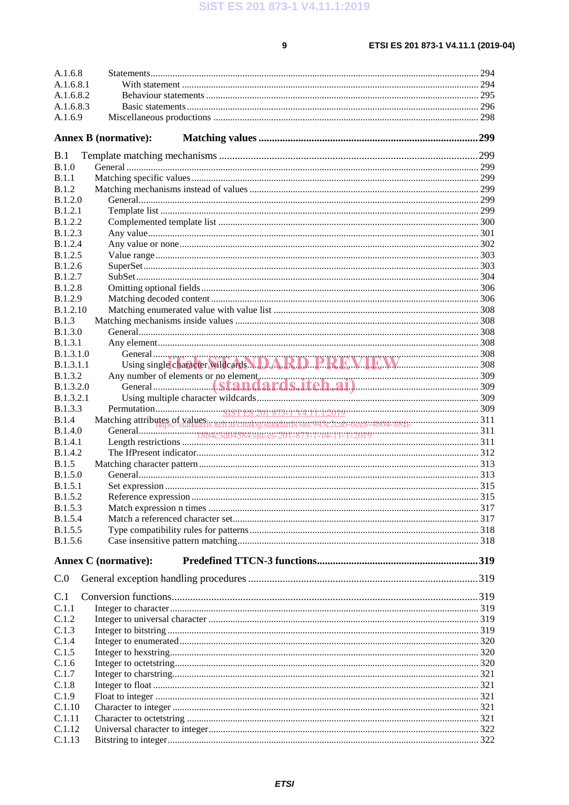$\overline{9}$ 

### ETSI ES 201 873-1 V4.11.1 (2019-04)

| A.1.6.8          |                             |  |
|------------------|-----------------------------|--|
| A.1.6.8.1        |                             |  |
| A.1.6.8.2        |                             |  |
| A.1.6.8.3        |                             |  |
| A.1.6.9          |                             |  |
|                  |                             |  |
|                  | <b>Annex B</b> (normative): |  |
|                  |                             |  |
| B.1              |                             |  |
| B.1.0            |                             |  |
| <b>B.1.1</b>     |                             |  |
| B.1.2            |                             |  |
| B.1.2.0          |                             |  |
| <b>B.1.2.1</b>   |                             |  |
| <b>B.1.2.2</b>   |                             |  |
| B.1.2.3          |                             |  |
| <b>B.1.2.4</b>   |                             |  |
| B.1.2.5          |                             |  |
| B.1.2.6          |                             |  |
| <b>B.1.2.7</b>   |                             |  |
| <b>B.1.2.8</b>   |                             |  |
| B.1.2.9          |                             |  |
| B.1.2.10         |                             |  |
| <b>B.1.3</b>     |                             |  |
| B.1.3.0          |                             |  |
| <b>B.1.3.1</b>   |                             |  |
| <b>B.1.3.1.0</b> |                             |  |
| <b>B.1.3.1.1</b> |                             |  |
| <b>B.1.3.2</b>   |                             |  |
| <b>B.1.3.2.0</b> |                             |  |
| B.1.3.2.1        |                             |  |
| <b>B.1.3.3</b>   |                             |  |
| B.1.4            |                             |  |
| B.1.4.0          |                             |  |
| <b>B.1.4.1</b>   |                             |  |
| B.1.4.2          |                             |  |
| <b>B.1.5</b>     |                             |  |
| B.1.5.0          |                             |  |
| B.1.5.1          |                             |  |
| B.1.5.2          |                             |  |
| B.1.5.3          |                             |  |
| B.1.5.4          |                             |  |
| B.1.5.5          |                             |  |
| B.1.5.6          |                             |  |
|                  | <b>Annex C</b> (normative): |  |
|                  |                             |  |
| C.0              |                             |  |
| C.1              |                             |  |
| C.1.1            |                             |  |
| C.1.2            |                             |  |
| C.1.3            |                             |  |
| C.1.4            |                             |  |
| C.1.5            |                             |  |
| C.1.6            |                             |  |
| C.1.7            |                             |  |
| C.1.8            |                             |  |
| C.1.9            |                             |  |
| C.1.10           |                             |  |
| C.1.11           |                             |  |
| C.1.12           |                             |  |
| C.1.13           |                             |  |
|                  |                             |  |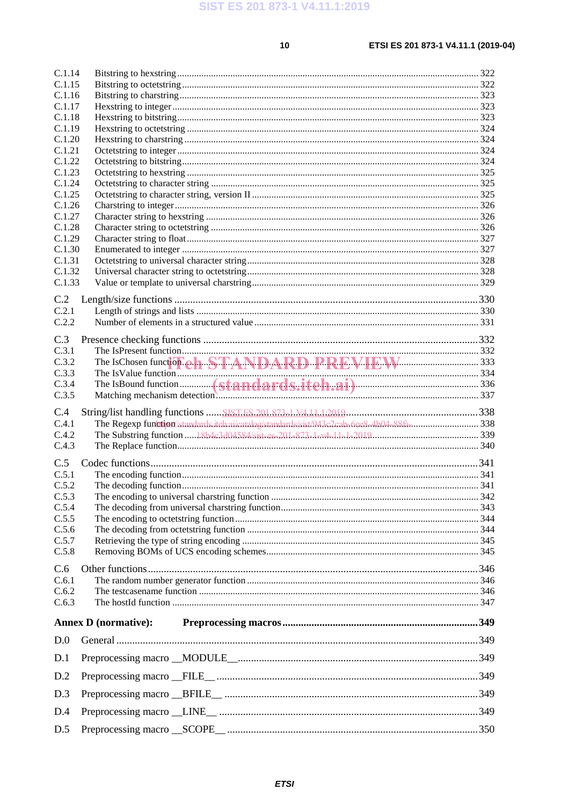$10$ 

### ETSI ES 201 873-1 V4.11.1 (2019-04)

| C.1.14           |                             |  |
|------------------|-----------------------------|--|
| C.1.15           |                             |  |
| C.1.16<br>C.1.17 |                             |  |
| C.1.18           |                             |  |
| C.1.19           |                             |  |
| C.1.20           |                             |  |
| C.1.21           |                             |  |
| C.1.22           |                             |  |
| C.1.23           |                             |  |
| C.1.24           |                             |  |
| C.1.25<br>C.1.26 |                             |  |
| C.1.27           |                             |  |
| C.1.28           |                             |  |
| C.1.29           |                             |  |
| C.1.30           |                             |  |
| C.1.31           |                             |  |
| C.1.32           |                             |  |
| C.1.33           |                             |  |
| C.2              |                             |  |
| C.2.1            |                             |  |
| C.2.2            |                             |  |
| C.3              |                             |  |
| C.3.1            |                             |  |
| C.3.2            |                             |  |
| C.3.3            |                             |  |
| C.3.4            |                             |  |
|                  |                             |  |
| C.3.5            |                             |  |
|                  |                             |  |
| C.4              |                             |  |
| C.4.1<br>C.4.2   |                             |  |
| C.4.3            |                             |  |
|                  |                             |  |
| C.5<br>C.5.1     |                             |  |
| C.5.2            |                             |  |
| C.5.3            |                             |  |
| C.5.4            |                             |  |
| C.5.5            |                             |  |
| C.5.6            |                             |  |
| C.5.7            |                             |  |
| C.5.8            |                             |  |
| C.6              |                             |  |
| C.6.1            |                             |  |
| C.6.2            |                             |  |
| C.6.3            |                             |  |
|                  | <b>Annex D</b> (normative): |  |
| D.0              |                             |  |
| D.1              |                             |  |
| D.2              |                             |  |
| D.3              |                             |  |
| D.4              |                             |  |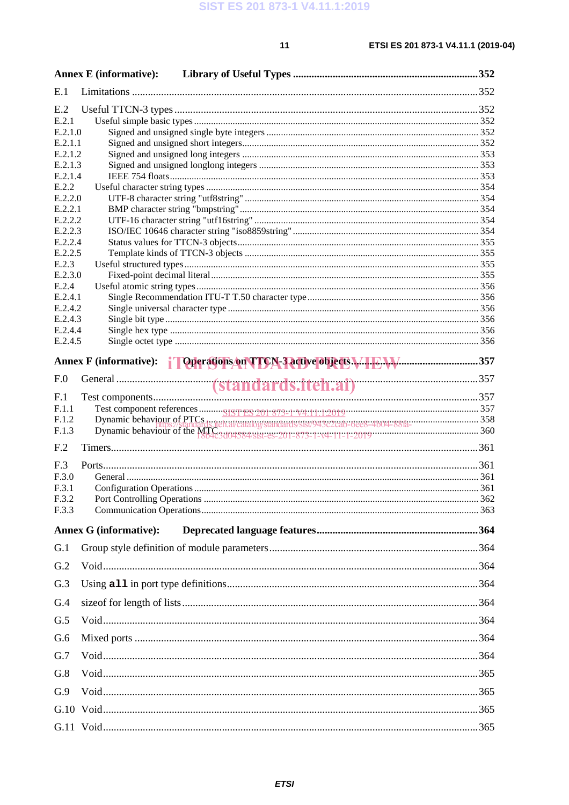|                    | <b>Annex E</b> (informative): |                                                                                                                                                                                            |  |
|--------------------|-------------------------------|--------------------------------------------------------------------------------------------------------------------------------------------------------------------------------------------|--|
| E.1                |                               |                                                                                                                                                                                            |  |
| E.2                |                               |                                                                                                                                                                                            |  |
| E.2.1              |                               |                                                                                                                                                                                            |  |
| E.2.1.0            |                               |                                                                                                                                                                                            |  |
| E.2.1.1            |                               |                                                                                                                                                                                            |  |
| E.2.1.2            |                               |                                                                                                                                                                                            |  |
| E.2.1.3            |                               |                                                                                                                                                                                            |  |
| E.2.1.4            |                               |                                                                                                                                                                                            |  |
| E.2.2              |                               |                                                                                                                                                                                            |  |
| E.2.2.0<br>E.2.2.1 |                               |                                                                                                                                                                                            |  |
| E.2.2.2            |                               |                                                                                                                                                                                            |  |
| E.2.2.3            |                               |                                                                                                                                                                                            |  |
| E.2.2.4            |                               |                                                                                                                                                                                            |  |
| E.2.2.5            |                               |                                                                                                                                                                                            |  |
| E.2.3              |                               |                                                                                                                                                                                            |  |
| E.2.3.0            |                               |                                                                                                                                                                                            |  |
| E.2.4              |                               |                                                                                                                                                                                            |  |
| E.2.4.1            |                               |                                                                                                                                                                                            |  |
| E.2.4.2            |                               |                                                                                                                                                                                            |  |
| E.2.4.3            |                               |                                                                                                                                                                                            |  |
| E.2.4.4            |                               |                                                                                                                                                                                            |  |
| E.2.4.5            |                               |                                                                                                                                                                                            |  |
|                    |                               | Annex F (informative): Conservations on TTCN-3 active objects Manuson Manuson 357                                                                                                          |  |
| F.0                |                               |                                                                                                                                                                                            |  |
| F.1                |                               |                                                                                                                                                                                            |  |
| F.1.1              |                               |                                                                                                                                                                                            |  |
| F.1.2              |                               |                                                                                                                                                                                            |  |
| F.1.3              |                               | Dynamic behaviour of PTCs<br>Dynamic behaviour of the MILES and alcatalogistandards/sist/943c2cab-6ee8-4b04-88fa-<br>Dynamic behaviour of the MILES 2004584/sist-es-201-873-1-v4-11-1-2019 |  |
| F <sub>.2</sub>    |                               |                                                                                                                                                                                            |  |
| F <sub>.3</sub>    |                               |                                                                                                                                                                                            |  |
| F.3.0              |                               |                                                                                                                                                                                            |  |
| F.3.1              |                               |                                                                                                                                                                                            |  |
| F.3.2              |                               |                                                                                                                                                                                            |  |
| F.3.3              |                               |                                                                                                                                                                                            |  |
|                    | <b>Annex G (informative):</b> |                                                                                                                                                                                            |  |
| G.1                |                               |                                                                                                                                                                                            |  |
| G.2                |                               |                                                                                                                                                                                            |  |
| G.3                |                               |                                                                                                                                                                                            |  |
| G.4                |                               |                                                                                                                                                                                            |  |
| G.5                |                               |                                                                                                                                                                                            |  |
| G.6                |                               |                                                                                                                                                                                            |  |
| G.7                |                               |                                                                                                                                                                                            |  |
| G.8                |                               |                                                                                                                                                                                            |  |
| G.9                |                               |                                                                                                                                                                                            |  |
|                    |                               |                                                                                                                                                                                            |  |
|                    |                               |                                                                                                                                                                                            |  |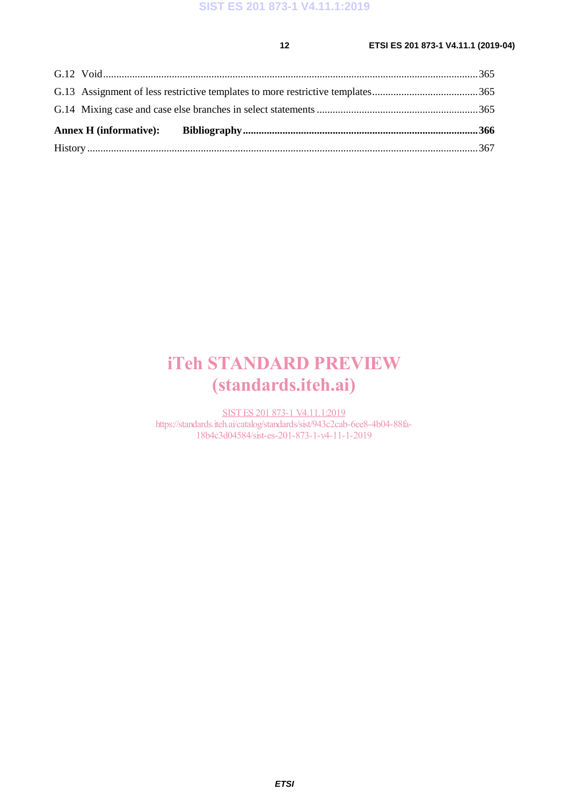# iTeh STANDARD PREVIEW (standards.iteh.ai)

SIST ES 201 873-1 V4.11.1:2019 https://standards.iteh.ai/catalog/standards/sist/943c2cab-6ee8-4b04-88fa-18b4c3d04584/sist-es-201-873-1-v4-11-1-2019